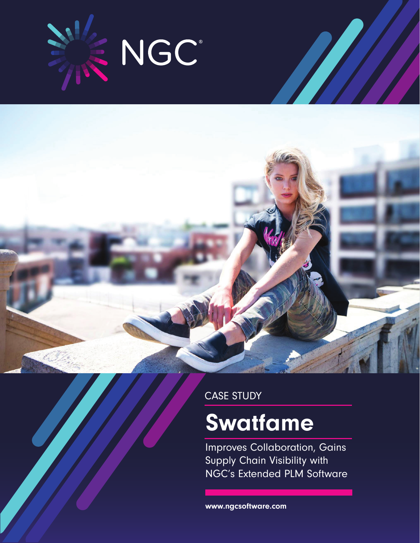

CASE STUDY

# **Swatfame**

Improves Collaboration, Gains Supply Chain Visibility with NGC's Extended PLM Software

www.ngcsoftware.com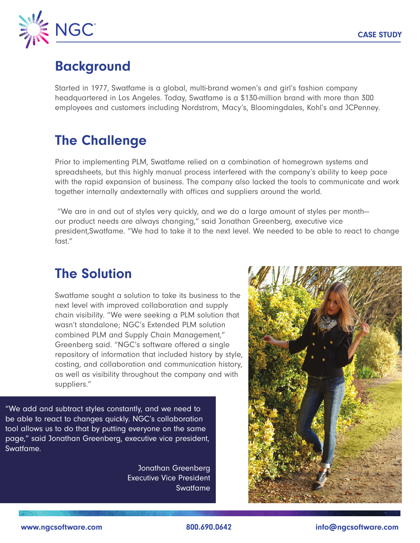

## **Background**

Started in 1977, Swatfame is a global, multi-brand women's and girl's fashion company headquartered in Los Angeles. Today, Swatfame is a \$130-million brand with more than 300 employees and customers including Nordstrom, Macy's, Bloomingdales, Kohl's and JCPenney.

## The Challenge

Prior to implementing PLM, Swatfame relied on a combination of homegrown systems and spreadsheets, but this highly manual process interfered with the company's ability to keep pace with the rapid expansion of business. The company also lacked the tools to communicate and work together internally andexternally with offices and suppliers around the world.

 "We are in and out of styles very quickly, and we do a large amount of styles per month our product needs are always changing," said Jonathan Greenberg, executive vice president,Swatfame. "We had to take it to the next level. We needed to be able to react to change fast."

## The Solution

Swatfame sought a solution to take its business to the next level with improved collaboration and supply chain visibility. "We were seeking a PLM solution that wasn't standalone; NGC's Extended PLM solution combined PLM and Supply Chain Management," Greenberg said. "NGC's software offered a single repository of information that included history by style, costing, and collaboration and communication history, as well as visibility throughout the company and with suppliers."

"We add and subtract styles constantly, and we need to be able to react to changes quickly. NGC's collaboration tool allows us to do that by putting everyone on the same page," said Jonathan Greenberg, executive vice president, Swatfame.

> Jonathan Greenberg Executive Vice President Swatfame